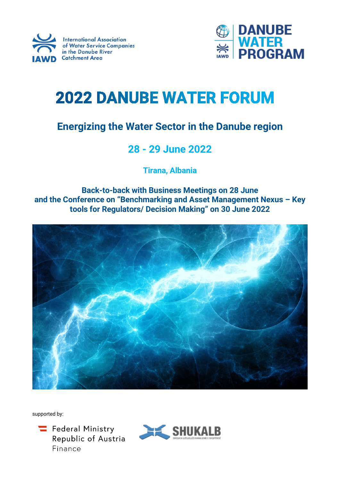



# **2022 DANUBE WATER FORUM**

## **Energizing the Water Sector in the Danube region**

## **28 - 29 June 2022**

**Tirana, Albania**

**Back-to-back with Business Meetings on 28 June and the Conference on "Benchmarking and Asset Management Nexus – Key tools for Regulators/ Decision Making" on 30 June 2022**



supported by:



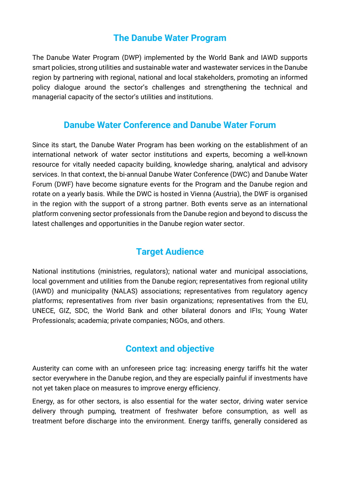## **The Danube Water Program**

The Danube Water Program (DWP) implemented by the World Bank and IAWD supports smart policies, strong utilities and sustainable water and wastewater services in the Danube region by partnering with regional, national and local stakeholders, promoting an informed policy dialogue around the sector's challenges and strengthening the technical and managerial capacity of the sector's utilities and institutions.

## **Danube Water Conference and Danube Water Forum**

Since its start, the Danube Water Program has been working on the establishment of an international network of water sector institutions and experts, becoming a well-known resource for vitally needed capacity building, knowledge sharing, analytical and advisory services. In that context, the bi-annual Danube Water Conference (DWC) and Danube Water Forum (DWF) have become signature events for the Program and the Danube region and rotate on a yearly basis. While the DWC is hosted in Vienna (Austria), the DWF is organised in the region with the support of a strong partner. Both events serve as an international platform convening sector professionals from the Danube region and beyond to discuss the latest challenges and opportunities in the Danube region water sector.

## **Target Audience**

National institutions (ministries, regulators); national water and municipal associations, local government and utilities from the Danube region; representatives from regional utility (IAWD) and municipality (NALAS) associations; representatives from regulatory agency platforms; representatives from river basin organizations; representatives from the EU, UNECE, GIZ, SDC, the World Bank and other bilateral donors and IFIs; Young Water Professionals; academia; private companies; NGOs, and others.

## **Context and objective**

Austerity can come with an unforeseen price tag: increasing energy tariffs hit the water sector everywhere in the Danube region, and they are especially painful if investments have not yet taken place on measures to improve energy efficiency.

Energy, as for other sectors, is also essential for the water sector, driving water service delivery through pumping, treatment of freshwater before consumption, as well as treatment before discharge into the environment. Energy tariffs, generally considered as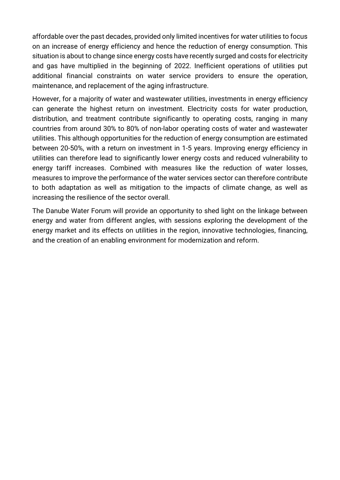affordable over the past decades, provided only limited incentives for water utilities to focus on an increase of energy efficiency and hence the reduction of energy consumption. This situation is about to change since energy costs have recently surged and costs for electricity and gas have multiplied in the beginning of 2022. Inefficient operations of utilities put additional financial constraints on water service providers to ensure the operation, maintenance, and replacement of the aging infrastructure.

However, for a majority of water and wastewater utilities, investments in energy efficiency can generate the highest return on investment. Electricity costs for water production, distribution, and treatment contribute significantly to operating costs, ranging in many countries from around 30% to 80% of non-labor operating costs of water and wastewater utilities. This although opportunities for the reduction of energy consumption are estimated between 20-50%, with a return on investment in 1-5 years. Improving energy efficiency in utilities can therefore lead to significantly lower energy costs and reduced vulnerability to energy tariff increases. Combined with measures like the reduction of water losses, measures to improve the performance of the water services sector can therefore contribute to both adaptation as well as mitigation to the impacts of climate change, as well as increasing the resilience of the sector overall.

The Danube Water Forum will provide an opportunity to shed light on the linkage between energy and water from different angles, with sessions exploring the development of the energy market and its effects on utilities in the region, innovative technologies, financing, and the creation of an enabling environment for modernization and reform.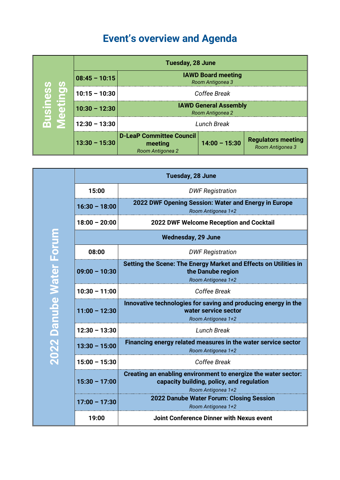# **Event's overview and Agenda**

| ທ                       |                 | <b>Tuesday, 28 June</b>                                        |                 |                                               |
|-------------------------|-----------------|----------------------------------------------------------------|-----------------|-----------------------------------------------|
|                         | $08:45 - 10:15$ | <b>IAWD Board meeting</b><br>Room Antigonea 3                  |                 |                                               |
| ာ                       | $10:15 - 10:30$ | Coffee Break                                                   |                 |                                               |
| <b>Busin</b><br>吊<br>O) | $10:30 - 12:30$ | <b>IAWD General Assembly</b><br>Room Antigonea 2               |                 |                                               |
|                         | $12:30 - 13:30$ |                                                                | Lunch Break     |                                               |
|                         | $13:30 - 15:30$ | <b>D-LeaP Committee Council</b><br>meeting<br>Room Antigonea 2 | $14:00 - 15:30$ | <b>Regulators meeting</b><br>Room Antigonea 3 |

|                         | Tuesday, 28 June          |                                                                                                                                   |  |
|-------------------------|---------------------------|-----------------------------------------------------------------------------------------------------------------------------------|--|
|                         | 15:00                     | <b>DWF Registration</b>                                                                                                           |  |
|                         | $16:30 - 18:00$           | 2022 DWF Opening Session: Water and Energy in Europe<br>Room Antigonea 1+2                                                        |  |
|                         | $18:00 - 20:00$           | <b>2022 DWF Welcome Reception and Cocktail</b>                                                                                    |  |
|                         | <b>Wednesday, 29 June</b> |                                                                                                                                   |  |
|                         | 08:00                     | <b>DWF Registration</b>                                                                                                           |  |
|                         | $09:00 - 10:30$           | Setting the Scene: The Energy Market and Effects on Utilities in<br>the Danube region<br>Room Antigonea 1+2                       |  |
|                         | $10:30 - 11:00$           | Coffee Break                                                                                                                      |  |
| 2022 Danube Water Forum | $11:00 - 12:30$           | Innovative technologies for saving and producing energy in the<br>water service sector<br>Room Antigonea 1+2                      |  |
|                         | $12:30 - 13:30$           | <b>Lunch Break</b>                                                                                                                |  |
|                         | $13:30 - 15:00$           | Financing energy related measures in the water service sector<br>Room Antigonea 1+2                                               |  |
|                         | $15:00 - 15:30$           | Coffee Break                                                                                                                      |  |
|                         | $15:30 - 17:00$           | Creating an enabling environment to energize the water sector:<br>capacity building, policy, and regulation<br>Room Antigonea 1+2 |  |
|                         | $17:00 - 17:30$           | 2022 Danube Water Forum: Closing Session<br>Room Antigonea 1+2                                                                    |  |
|                         | 19:00                     | <b>Joint Conference Dinner with Nexus event</b>                                                                                   |  |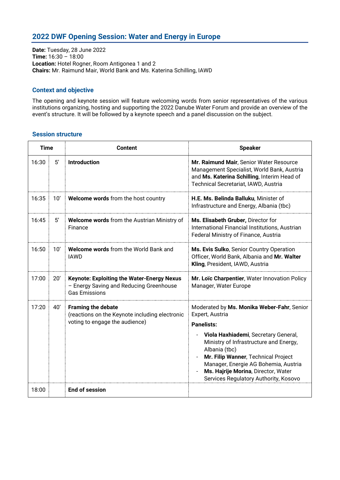## **2022 DWF Opening Session: Water and Energy in Europe**

**Date:** Tuesday, 28 June 2022 **Time:** 16:30 – 18:00 **Location:** Hotel Rogner, Room Antigonea 1 and 2 **Chairs:** Mr. Raimund Mair, World Bank and Ms. Katerina Schilling, IAWD

#### **Context and objective**

The opening and keynote session will feature welcoming words from senior representatives of the various institutions organizing, hosting and supporting the 2022 Danube Water Forum and provide an overview of the event's structure. It will be followed by a keynote speech and a panel discussion on the subject.

| <b>Time</b> |              | <b>Content</b>                                                                                                       | <b>Speaker</b>                                                                                                                                                                                                                                                                                                                                                         |
|-------------|--------------|----------------------------------------------------------------------------------------------------------------------|------------------------------------------------------------------------------------------------------------------------------------------------------------------------------------------------------------------------------------------------------------------------------------------------------------------------------------------------------------------------|
| 16:30       | 5'           | <b>Introduction</b>                                                                                                  | Mr. Raimund Mair, Senior Water Resource<br>Management Specialist, World Bank, Austria<br>and Ms. Katerina Schilling, Interim Head of<br>Technical Secretariat, IAWD, Austria                                                                                                                                                                                           |
| 16:35       | 10'          | Welcome words from the host country                                                                                  | H.E. Ms. Belinda Balluku, Minister of<br>Infrastructure and Energy, Albania (tbc)                                                                                                                                                                                                                                                                                      |
| 16:45       | $5^{\prime}$ | Welcome words from the Austrian Ministry of<br>Finance                                                               | Ms. Elisabeth Gruber, Director for<br>International Financial Institutions, Austrian<br>Federal Ministry of Finance, Austria                                                                                                                                                                                                                                           |
| 16:50       | 10'          | <b>Welcome words from the World Bank and</b><br><b>IAWD</b>                                                          | Ms. Evis Sulko, Senior Country Operation<br>Officer, World Bank, Albania and Mr. Walter<br>Kling, President, IAWD, Austria                                                                                                                                                                                                                                             |
| 17:00       | 20'          | <b>Keynote: Exploiting the Water-Energy Nexus</b><br>- Energy Saving and Reducing Greenhouse<br><b>Gas Emissions</b> | Mr. Loïc Charpentier, Water Innovation Policy<br>Manager, Water Europe                                                                                                                                                                                                                                                                                                 |
| 17:20       | 40'          | <b>Framing the debate</b><br>(reactions on the Keynote including electronic<br>voting to engage the audience)        | Moderated by Ms. Monika Weber-Fahr, Senior<br>Expert, Austria<br><b>Panelists:</b><br>Viola Haxhiademi, Secretary General,<br>Ministry of Infrastructure and Energy,<br>Albania (tbc)<br>Mr. Filip Wanner, Technical Project<br>$\overline{a}$<br>Manager, Energie AG Bohemia, Austria<br>Ms. Hajrije Morina, Director, Water<br>Services Regulatory Authority, Kosovo |
| 18:00       |              | <b>End of session</b>                                                                                                |                                                                                                                                                                                                                                                                                                                                                                        |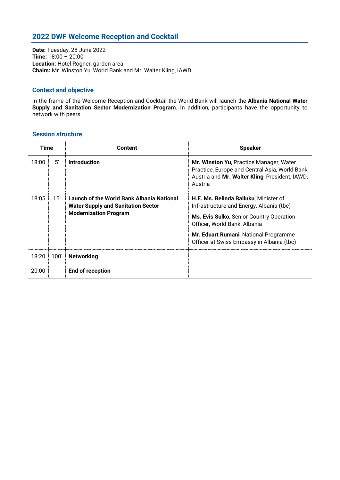## **2022 DWF Welcome Reception and Cocktail**

**Date:** Tuesday, 28 June 2022 **Time:** 18:00 – 20:00 **Location:** Hotel Rogner, garden area **Chairs:** Mr. Winston Yu, World Bank and Mr. Walter Kling, IAWD

### **Context and objective**

In the frame of the Welcome Reception and Cocktail the World Bank will launch the **Albania National Water Supply and Sanitation Sector Modernization Program**. In addition, participants have the opportunity to network with peers.

| Time  |      | Content                                                                                                                | <b>Speaker</b>                                                                                                                                                                                                                                      |
|-------|------|------------------------------------------------------------------------------------------------------------------------|-----------------------------------------------------------------------------------------------------------------------------------------------------------------------------------------------------------------------------------------------------|
| 18:00 | 5'   | <b>Introduction</b>                                                                                                    | Mr. Winston Yu, Practice Manager, Water<br>Practice, Europe and Central Asia, World Bank,<br>Austria and Mr. Walter Kling, President, IAWD,<br>Austria                                                                                              |
| 18:05 | 15'  | Launch of the World Bank Albania National<br><b>Water Supply and Sanitation Sector</b><br><b>Modernization Program</b> | H.E. Ms. Belinda Balluku, Minister of<br>Infrastructure and Energy, Albania (tbc)<br>Ms. Evis Sulko, Senior Country Operation<br>Officer, World Bank, Albania<br>Mr. Eduart Rumani, National Programme<br>Officer at Swiss Embassy in Albania (tbc) |
| 18:20 | 100' | <b>Networking</b>                                                                                                      |                                                                                                                                                                                                                                                     |
| 20:00 |      | End of reception                                                                                                       |                                                                                                                                                                                                                                                     |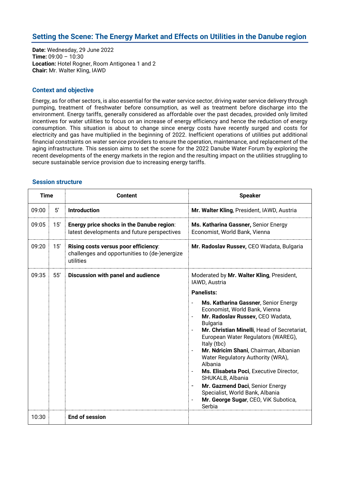## **Setting the Scene: The Energy Market and Effects on Utilities in the Danube region**

**Date:** Wednesday, 29 June 2022 **Time:** 09:00 – 10:30 **Location:** Hotel Rogner, Room Antigonea 1 and 2 **Chair:** Mr. Walter Kling, IAWD

#### **Context and objective**

Energy, as for other sectors, is also essential for the water service sector, driving water service delivery through pumping, treatment of freshwater before consumption, as well as treatment before discharge into the environment. Energy tariffs, generally considered as affordable over the past decades, provided only limited incentives for water utilities to focus on an increase of energy efficiency and hence the reduction of energy consumption. This situation is about to change since energy costs have recently surged and costs for electricity and gas have multiplied in the beginning of 2022. Inefficient operations of utilities put additional financial constraints on water service providers to ensure the operation, maintenance, and replacement of the aging infrastructure. This session aims to set the scene for the 2022 Danube Water Forum by exploring the recent developments of the energy markets in the region and the resulting impact on the utilities struggling to secure sustainable service provision due to increasing energy tariffs.

| <b>Time</b> |     | <b>Content</b>                                                                                     | <b>Speaker</b>                                                                                                                                                                                                                                                                                                                                                                                                                                                                                                                                                 |  |
|-------------|-----|----------------------------------------------------------------------------------------------------|----------------------------------------------------------------------------------------------------------------------------------------------------------------------------------------------------------------------------------------------------------------------------------------------------------------------------------------------------------------------------------------------------------------------------------------------------------------------------------------------------------------------------------------------------------------|--|
| 09:00       | 5'  | <b>Introduction</b>                                                                                | Mr. Walter Kling, President, IAWD, Austria                                                                                                                                                                                                                                                                                                                                                                                                                                                                                                                     |  |
| 09:05       | 15' | Energy price shocks in the Danube region:<br>latest developments and future perspectives           | Ms. Katharina Gassner, Senior Energy<br>Economist, World Bank, Vienna                                                                                                                                                                                                                                                                                                                                                                                                                                                                                          |  |
| 09:20       | 15' | Rising costs versus poor efficiency:<br>challenges and opportunities to (de-)energize<br>utilities | Mr. Radoslav Russev, CEO Wadata, Bulgaria                                                                                                                                                                                                                                                                                                                                                                                                                                                                                                                      |  |
| 09:35       | 55' | Discussion with panel and audience                                                                 | Moderated by Mr. Walter Kling, President,<br>IAWD, Austria<br><b>Panelists:</b>                                                                                                                                                                                                                                                                                                                                                                                                                                                                                |  |
|             |     |                                                                                                    | Ms. Katharina Gassner, Senior Energy<br>Economist, World Bank, Vienna<br>Mr. Radoslav Russev, CEO Wadata,<br>$\blacksquare$<br><b>Bulgaria</b><br>Mr. Christian Minelli, Head of Secretariat,<br>European Water Regulators (WAREG),<br>Italy (tbc)<br>Mr. Ndricim Shani, Chairman, Albanian<br>Water Regulatory Authority (WRA),<br>Albania<br>Ms. Elisabeta Poci, Executive Director,<br>$\overline{\phantom{a}}$<br>SHUKALB, Albania<br>Mr. Gazmend Daci, Senior Energy<br>Specialist, World Bank, Albania<br>Mr. George Sugar, CEO, ViK Subotica,<br>Serbia |  |
| 10:30       |     | <b>End of session</b>                                                                              |                                                                                                                                                                                                                                                                                                                                                                                                                                                                                                                                                                |  |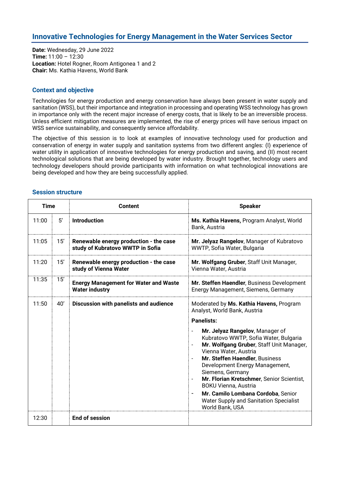## **Innovative Technologies for Energy Management in the Water Services Sector**

**Date:** Wednesday, 29 June 2022 **Time:** 11:00 – 12:30 **Location:** Hotel Rogner, Room Antigonea 1 and 2 **Chair:** Ms. Kathia Havens, World Bank

### **Context and objective**

Technologies for energy production and energy conservation have always been present in water supply and sanitation (WSS), but their importance and integration in processing and operating WSS technology has grown in importance only with the recent major increase of energy costs, that is likely to be an irreversible process. Unless efficient mitigation measures are implemented, the rise of energy prices will have serious impact on WSS service sustainability, and consequently service affordability.

The objective of this session is to look at examples of innovative technology used for production and conservation of energy in water supply and sanitation systems from two different angles: (I) experience of water utility in application of innovative technologies for energy production and saving, and (II) most recent technological solutions that are being developed by water industry. Brought together, technology users and technology developers should provide participants with information on what technological innovations are being developed and how they are being successfully applied.

| <b>Time</b> |     | <b>Content</b>                                                             | <b>Speaker</b>                                                                                                                                                                                                                                                                                                    |
|-------------|-----|----------------------------------------------------------------------------|-------------------------------------------------------------------------------------------------------------------------------------------------------------------------------------------------------------------------------------------------------------------------------------------------------------------|
| 11:00       | 5'  | <b>Introduction</b>                                                        | Ms. Kathia Havens, Program Analyst, World<br>Bank, Austria                                                                                                                                                                                                                                                        |
| 11:05       | 15' | Renewable energy production - the case<br>study of Kubratovo WWTP in Sofia | Mr. Jelyaz Rangelov, Manager of Kubratovo<br>WWTP, Sofia Water, Bulgaria                                                                                                                                                                                                                                          |
| 11:20       | 15' | Renewable energy production - the case<br>study of Vienna Water            | Mr. Wolfgang Gruber, Staff Unit Manager,<br>Vienna Water, Austria                                                                                                                                                                                                                                                 |
| 11:35       | 15' | <b>Energy Management for Water and Waste</b><br><b>Water industry</b>      | Mr. Steffen Haendler, Business Development<br>Energy Management, Siemens, Germany                                                                                                                                                                                                                                 |
| 11:50       | 40' | <b>Discussion with panelists and audience</b>                              | Moderated by Ms. Kathia Havens, Program<br>Analyst, World Bank, Austria                                                                                                                                                                                                                                           |
|             |     |                                                                            | <b>Panelists:</b>                                                                                                                                                                                                                                                                                                 |
|             |     |                                                                            | Mr. Jelyaz Rangelov, Manager of<br>Kubratovo WWTP, Sofia Water, Bulgaria<br>Mr. Wolfgang Gruber, Staff Unit Manager,<br>Vienna Water, Austria<br>Mr. Steffen Haendler, Business<br>Development Energy Management,<br>Siemens, Germany<br>Mr. Florian Kretschmer, Senior Scientist,<br><b>BOKU Vienna, Austria</b> |
|             |     |                                                                            | Mr. Camilo Lombana Cordoba, Senior<br><b>Water Supply and Sanitation Specialist</b><br>World Bank, USA                                                                                                                                                                                                            |
| 12:30       |     | End of session                                                             |                                                                                                                                                                                                                                                                                                                   |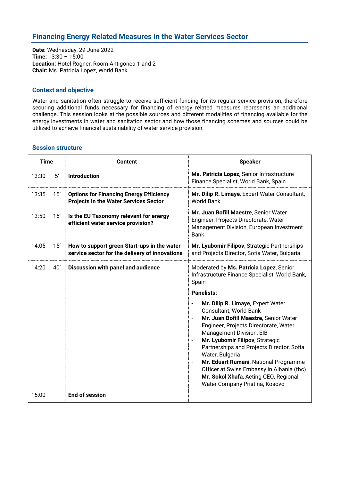## **Financing Energy Related Measures in the Water Services Sector**

**Date:** Wednesday, 29 June 2022 **Time:** 13:30 – 15:00 **Location:** Hotel Rogner, Room Antigonea 1 and 2 **Chair:** Ms. Patricia Lopez, World Bank

#### **Context and objective**

Water and sanitation often struggle to receive sufficient funding for its regular service provision, therefore securing additional funds necessary for financing of energy related measures represents an additional challenge. This session looks at the possible sources and different modalities of financing available for the energy investments in water and sanitation sector and how those financing schemes and sources could be utilized to achieve financial sustainability of water service provision.

| <b>Time</b> |     | <b>Content</b>                                                                                 | <b>Speaker</b>                                                                                                                                                                                                                                                                                                                                                                                                                                                                                                |  |
|-------------|-----|------------------------------------------------------------------------------------------------|---------------------------------------------------------------------------------------------------------------------------------------------------------------------------------------------------------------------------------------------------------------------------------------------------------------------------------------------------------------------------------------------------------------------------------------------------------------------------------------------------------------|--|
| 13:30       | 5'  | <b>Introduction</b>                                                                            | Ms. Patricia Lopez, Senior Infrastructure<br>Finance Specialist, World Bank, Spain                                                                                                                                                                                                                                                                                                                                                                                                                            |  |
| 13:35       | 15' | <b>Options for Financing Energy Efficiency</b><br><b>Projects in the Water Services Sector</b> | Mr. Dilip R. Limaye, Expert Water Consultant,<br><b>World Bank</b>                                                                                                                                                                                                                                                                                                                                                                                                                                            |  |
| 13:50       | 15' | Is the EU Taxonomy relevant for energy<br>efficient water service provision?                   | Mr. Juan Bofill Maestre, Senior Water<br>Engineer, Projects Directorate, Water<br>Management Division, European Investment<br><b>Bank</b>                                                                                                                                                                                                                                                                                                                                                                     |  |
| 14:05       | 15' | How to support green Start-ups in the water<br>service sector for the delivery of innovations  | Mr. Lyubomir Filipov, Strategic Partnerships<br>and Projects Director, Sofia Water, Bulgaria                                                                                                                                                                                                                                                                                                                                                                                                                  |  |
| 14:20       | 40' | Discussion with panel and audience                                                             | Moderated by Ms. Patricia Lopez, Senior<br>Infrastructure Finance Specialist, World Bank,<br>Spain                                                                                                                                                                                                                                                                                                                                                                                                            |  |
|             |     |                                                                                                | <b>Panelists:</b>                                                                                                                                                                                                                                                                                                                                                                                                                                                                                             |  |
|             |     |                                                                                                | Mr. Dilip R. Limaye, Expert Water<br>Consultant, World Bank<br>Mr. Juan Bofill Maestre, Senior Water<br>$\qquad \qquad \blacksquare$<br>Engineer, Projects Directorate, Water<br>Management Division, EIB<br>Mr. Lyubomir Filipov, Strategic<br>$\qquad \qquad \blacksquare$<br>Partnerships and Projects Director, Sofia<br>Water, Bulgaria<br>Mr. Eduart Rumani, National Programme<br>Officer at Swiss Embassy in Albania (tbc)<br>Mr. Sokol Xhafa, Acting CEO, Regional<br>Water Company Pristina, Kosovo |  |
| 15:00       |     | <b>End of session</b>                                                                          |                                                                                                                                                                                                                                                                                                                                                                                                                                                                                                               |  |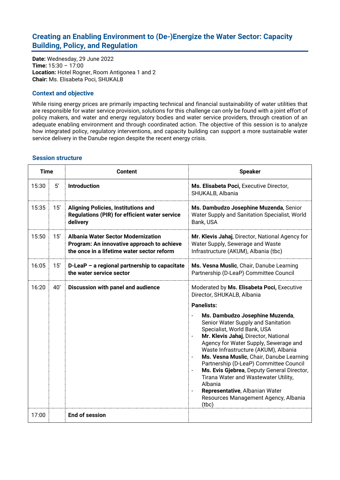## **Creating an Enabling Environment to (De-)Energize the Water Sector: Capacity Building, Policy, and Regulation**

**Date:** Wednesday, 29 June 2022 **Time:** 15:30 – 17:00 **Location:** Hotel Rogner, Room Antigonea 1 and 2 **Chair:** Ms. Elisabeta Poci, SHUKALB

## **Context and objective**

While rising energy prices are primarily impacting technical and financial sustainability of water utilities that are responsible for water service provision, solutions for this challenge can only be found with a joint effort of policy makers, and water and energy regulatory bodies and water service providers, through creation of an adequate enabling environment and through coordinated action. The objective of this session is to analyze how integrated policy, regulatory interventions, and capacity building can support a more sustainable water service delivery in the Danube region despite the recent energy crisis.

| <b>Time</b> |     | <b>Content</b>                                                                                                                        | <b>Speaker</b>                                                                                                                                                                                                                                                                                                                                                                                                                                                                                                                                                  |  |
|-------------|-----|---------------------------------------------------------------------------------------------------------------------------------------|-----------------------------------------------------------------------------------------------------------------------------------------------------------------------------------------------------------------------------------------------------------------------------------------------------------------------------------------------------------------------------------------------------------------------------------------------------------------------------------------------------------------------------------------------------------------|--|
| 15:30       | 5'  | <b>Introduction</b>                                                                                                                   | Ms. Elisabeta Poci, Executive Director,<br>SHUKALB, Albania                                                                                                                                                                                                                                                                                                                                                                                                                                                                                                     |  |
| 15:35       | 15' | <b>Aligning Policies, Institutions and</b><br><b>Regulations (PIR) for efficient water service</b><br>delivery                        | Ms. Dambudzo Josephine Muzenda, Senior<br>Water Supply and Sanitation Specialist, World<br>Bank, USA                                                                                                                                                                                                                                                                                                                                                                                                                                                            |  |
| 15:50       | 15' | <b>Albania Water Sector Modernization</b><br>Program: An innovative approach to achieve<br>the once in a lifetime water sector reform | Mr. Klevis Jahaj, Director, National Agency for<br>Water Supply, Sewerage and Waste<br>Infrastructure (AKUM), Albania (tbc)                                                                                                                                                                                                                                                                                                                                                                                                                                     |  |
| 16:05       | 15' | D-LeaP - a regional partnership to capacitate<br>the water service sector                                                             | Ms. Vesna Muslic, Chair, Danube Learning<br>Partnership (D-LeaP) Committee Council                                                                                                                                                                                                                                                                                                                                                                                                                                                                              |  |
| 16:20       | 40' | Discussion with panel and audience                                                                                                    | Moderated by Ms. Elisabeta Poci, Executive<br>Director, SHUKALB, Albania                                                                                                                                                                                                                                                                                                                                                                                                                                                                                        |  |
|             |     |                                                                                                                                       | <b>Panelists:</b>                                                                                                                                                                                                                                                                                                                                                                                                                                                                                                                                               |  |
|             |     |                                                                                                                                       | Ms. Dambudzo Josephine Muzenda,<br>Senior Water Supply and Sanitation<br>Specialist, World Bank, USA<br>Mr. Klevis Jahaj, Director, National<br>Agency for Water Supply, Sewerage and<br>Waste Infrastructure (AKUM), Albania<br>Ms. Vesna Muslic, Chair, Danube Learning<br>$\overline{\phantom{a}}$<br>Partnership (D-LeaP) Committee Council<br>Ms. Evis Gjebrea, Deputy General Director,<br>$\overline{\phantom{a}}$<br>Tirana Water and Wastewater Utility,<br>Albania<br>Representative, Albanian Water<br>Resources Management Agency, Albania<br>(tbc) |  |
| 17:00       |     | <b>End of session</b>                                                                                                                 |                                                                                                                                                                                                                                                                                                                                                                                                                                                                                                                                                                 |  |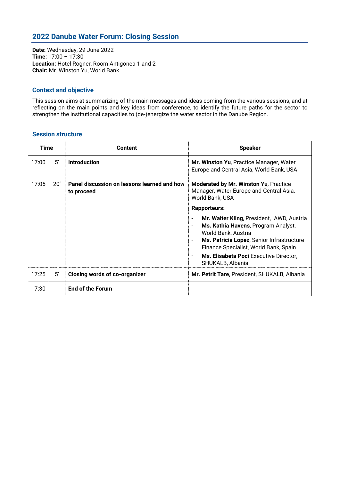## **2022 Danube Water Forum: Closing Session**

**Date:** Wednesday, 29 June 2022 **Time:** 17:00 – 17:30 **Location:** Hotel Rogner, Room Antigonea 1 and 2 **Chair:** Mr. Winston Yu, World Bank

#### **Context and objective**

This session aims at summarizing of the main messages and ideas coming from the various sessions, and at reflecting on the main points and key ideas from conference, to identify the future paths for the sector to strengthen the institutional capacities to (de-)energize the water sector in the Danube Region.

| <b>Time</b> |              | <b>Content</b>                                            | <b>Speaker</b>                                                                                                                                                                                                                                               |
|-------------|--------------|-----------------------------------------------------------|--------------------------------------------------------------------------------------------------------------------------------------------------------------------------------------------------------------------------------------------------------------|
| 17:00       | 5'           | <b>Introduction</b>                                       | Mr. Winston Yu, Practice Manager, Water<br>Europe and Central Asia, World Bank, USA                                                                                                                                                                          |
| 17:05       | 20'          | Panel discussion on lessons learned and how<br>to proceed | Moderated by Mr. Winston Yu, Practice<br>Manager, Water Europe and Central Asia,<br>World Bank, USA                                                                                                                                                          |
|             |              |                                                           | <b>Rapporteurs:</b>                                                                                                                                                                                                                                          |
|             |              |                                                           | Mr. Walter Kling, President, IAWD, Austria<br>Ms. Kathia Havens, Program Analyst,<br>World Bank, Austria<br>Ms. Patricia Lopez, Senior Infrastructure<br>Finance Specialist, World Bank, Spain<br>Ms. Elisabeta Poci Executive Director,<br>SHUKALB, Albania |
| 17:25       | $5^{\prime}$ | Closing words of co-organizer                             | Mr. Petrit Tare, President, SHUKALB, Albania                                                                                                                                                                                                                 |
| 17:30       |              | <b>End of the Forum</b>                                   |                                                                                                                                                                                                                                                              |